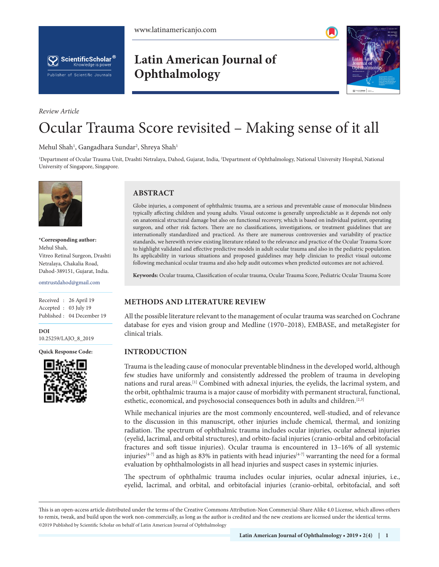



# **Latin American Journal of Ophthalmology**



# Ocular Trauma Score revisited – Making sense of it all

Mehul Shah<sup>1</sup>, Gangadhara Sundar<sup>2</sup>, Shreya Shah<sup>1</sup>

1 Department of Ocular Trauma Unit, Drashti Netralaya, Dahod, Gujarat, India, 2 Department of Ophthalmology, National University Hospital, National University of Singapore, Singapore.



*Review Article*

**\*Corresponding author:** Mehul Shah, Vitreo Retinal Surgeon, Drashti Netralaya, Chakalia Road, Dahod-389151, Gujarat, India.

omtrustdahod@gmail.com

Received : 26 April 19 Accepted : 03 July 19 Published : 04 December 19

**DOI** 10.25259/LAJO\_8\_2019

**Quick Response Code:**



# **ABSTRACT**

Globe injuries, a component of ophthalmic trauma, are a serious and preventable cause of monocular blindness typically affecting children and young adults. Visual outcome is generally unpredictable as it depends not only on anatomical structural damage but also on functional recovery, which is based on individual patient, operating surgeon, and other risk factors. There are no classifications, investigations, or treatment guidelines that are internationally standardized and practiced. As there are numerous controversies and variability of practice standards, we herewith review existing literature related to the relevance and practice of the Ocular Trauma Score to highlight validated and effective predictive models in adult ocular trauma and also in the pediatric population. Its applicability in various situations and proposed guidelines may help clinician to predict visual outcome following mechanical ocular trauma and also help audit outcomes when predicted outcomes are not achieved.

**Keywords:** Ocular trauma, Classification of ocular trauma, Ocular Trauma Score, Pediatric Ocular Trauma Score

# **METHODS AND LITERATURE REVIEW**

All the possible literature relevant to the management of ocular trauma was searched on Cochrane database for eyes and vision group and Medline (1970–2018), EMBASE, and metaRegister for clinical trials.

#### **INTRODUCTION**

Trauma is the leading cause of monocular preventable blindness in the developed world, although few studies have uniformly and consistently addressed the problem of trauma in developing nations and rural areas.[1] Combined with adnexal injuries, the eyelids, the lacrimal system, and the orbit, ophthalmic trauma is a major cause of morbidity with permanent structural, functional, esthetic, economical, and psychosocial consequences both in adults and children.<sup>[2,3]</sup>

While mechanical injuries are the most commonly encountered, well-studied, and of relevance to the discussion in this manuscript, other injuries include chemical, thermal, and ionizing radiation. The spectrum of ophthalmic trauma includes ocular injuries, ocular adnexal injuries (eyelid, lacrimal, and orbital structures), and orbito-facial injuries (cranio-orbital and orbitofacial fractures and soft tissue injuries). Ocular trauma is encountered in 13–16% of all systemic injuries<sup>[4-7]</sup> and as high as 83% in patients with head injuries<sup>[4-7]</sup> warranting the need for a formal evaluation by ophthalmologists in all head injuries and suspect cases in systemic injuries.

The spectrum of ophthalmic trauma includes ocular injuries, ocular adnexal injuries, i.e., eyelid, lacrimal, and orbital, and orbitofacial injuries (cranio-orbital, orbitofacial, and soft

is is an open-access article distributed under the terms of the Creative Commons Attribution-Non Commercial-Share Alike 4.0 License, which allows others to remix, tweak, and build upon the work non-commercially, as long as the author is credited and the new creations are licensed under the identical terms. ©2019 Published by Scientific Scholar on behalf of Latin American Journal of Ophthalmology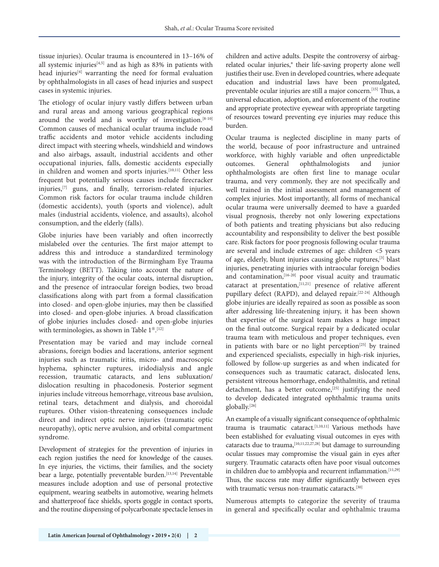tissue injuries). Ocular trauma is encountered in 13–16% of all systemic injuries<sup>[4,5]</sup> and as high as 83% in patients with head injuries<sup>[4]</sup> warranting the need for formal evaluation by ophthalmologists in all cases of head injuries and suspect cases in systemic injuries.

The etiology of ocular injury vastly differs between urban and rural areas and among various geographical regions around the world and is worthy of investigation.<sup>[8-10]</sup> Common causes of mechanical ocular trauma include road traffic accidents and motor vehicle accidents including direct impact with steering wheels, windshield and windows and also airbags, assault, industrial accidents and other occupational injuries, falls, domestic accidents especially in children and women and sports injuries.<sup>[10,11]</sup> Other less frequent but potentially serious causes include firecracker injuries,[7] guns, and finally, terrorism-related injuries. Common risk factors for ocular trauma include children (domestic accidents), youth (sports and violence), adult males (industrial accidents, violence, and assaults), alcohol consumption, and the elderly (falls).

Globe injuries have been variably and often incorrectly mislabeled over the centuries. The first major attempt to address this and introduce a standardized terminology was with the introduction of the Birmingham Eye Trauma Terminology (BETT). Taking into account the nature of the injury, integrity of the ocular coats, internal disruption, and the presence of intraocular foreign bodies, two broad classifications along with part from a formal classification into closed- and open-globe injuries, may then be classified into closed- and open-globe injuries. A broad classification of globe injuries includes closed- and open-globe injuries with terminologies, as shown in Table  $1^{\circledast . [12]}$ 

Presentation may be varied and may include corneal abrasions, foreign bodies and lacerations, anterior segment injuries such as traumatic iritis, micro- and macroscopic hyphema, sphincter ruptures, iridodialysis and angle recession, traumatic cataracts, and lens subluxation/ dislocation resulting in phacodonesis. Posterior segment injuries include vitreous hemorrhage, vitreous base avulsion, retinal tears, detachment and dialysis, and choroidal ruptures. Other vision-threatening consequences include direct and indirect optic nerve injuries (traumatic optic neuropathy), optic nerve avulsion, and orbital compartment syndrome.

Development of strategies for the prevention of injuries in each region justifies the need for knowledge of the causes. In eye injuries, the victims, their families, and the society bear a large, potentially preventable burden.<sup>[13,14]</sup> Preventable measures include adoption and use of personal protective equipment, wearing seatbelts in automotive, wearing helmets and shatterproof face shields, sports goggle in contact sports, and the routine dispensing of polycarbonate spectacle lenses in

children and active adults. Despite the controversy of airbagrelated ocular injuries,® their life-saving property alone well justifies their use. Even in developed countries, where adequate education and industrial laws have been promulgated, preventable ocular injuries are still a major concern.[15] Thus, a universal education, adoption, and enforcement of the routine and appropriate protective eyewear with appropriate targeting of resources toward preventing eye injuries may reduce this burden.

Ocular trauma is neglected discipline in many parts of the world, because of poor infrastructure and untrained workforce, with highly variable and often unpredictable outcomes. General ophthalmologists and junior ophthalmologists are often first line to manage ocular trauma, and very commonly, they are not specifically and well trained in the initial assessment and management of complex injuries. Most importantly, all forms of mechanical ocular trauma were universally deemed to have a guarded visual prognosis, thereby not only lowering expectations of both patients and treating physicians but also reducing accountability and responsibility to deliver the best possible care. Risk factors for poor prognosis following ocular trauma are several and include extremes of age: children <5 years of age, elderly, blunt injuries causing globe ruptures,[3] blast injuries, penetrating injuries with intraocular foreign bodies and contamination, <a>[16-20]</a> poor visual acuity and traumatic cataract at presentation, $[11,21]$  presence of relative afferent pupillary defect (RAPD), and delayed repair.<sup>[22-24]</sup> Although globe injuries are ideally repaired as soon as possible as soon after addressing life-threatening injury, it has been shown that expertise of the surgical team makes a huge impact on the final outcome. Surgical repair by a dedicated ocular trauma team with meticulous and proper techniques, even in patients with bare or no light perception<sup>[25]</sup> by trained and experienced specialists, especially in high-risk injuries, followed by follow-up surgeries as and when indicated for consequences such as traumatic cataract, dislocated lens, persistent vitreous hemorrhage, endophthalmitis, and retinal detachment, has a better outcome,<sup>[25]</sup> justifying the need to develop dedicated integrated ophthalmic trauma units globally.[26]

An example of a visually significant consequence of ophthalmic trauma is traumatic cataract.[1,10,11] Various methods have been established for evaluating visual outcomes in eyes with cataracts due to trauma,[10,11,22,27,28] but damage to surrounding ocular tissues may compromise the visual gain in eyes after surgery. Traumatic cataracts often have poor visual outcomes in children due to amblyopia and recurrent inflammation.<sup>[11,29]</sup> Thus, the success rate may differ significantly between eyes with traumatic versus non-traumatic cataracts.[30]

Numerous attempts to categorize the severity of trauma in general and specifically ocular and ophthalmic trauma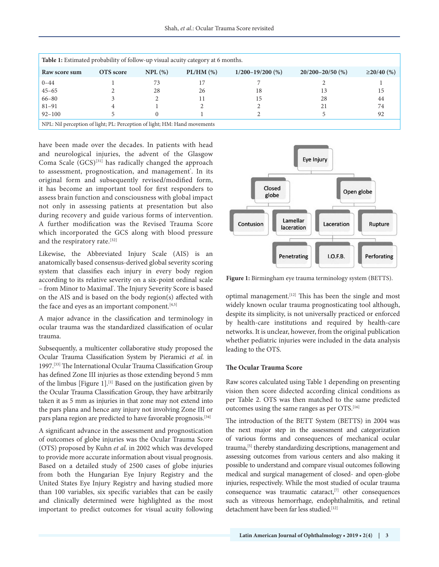| Table 1: Estimated probability of follow-up visual acuity category at 6 months. |           |           |                |                      |                      |                  |  |
|---------------------------------------------------------------------------------|-----------|-----------|----------------|----------------------|----------------------|------------------|--|
| Raw score sum                                                                   | OTS score | $NPL$ (%) | $PL/HM$ $(\%)$ | $1/200 - 19/200$ (%) | $20/200 - 20/50$ (%) | $\geq$ 20/40 (%) |  |
| $0 - 44$                                                                        |           | 73        |                |                      |                      |                  |  |
| $45 - 65$                                                                       |           | 28        | 26             | 18                   | 13                   | 15               |  |
| $66 - 80$                                                                       |           |           |                | 15                   | 28                   | 44               |  |
| $81 - 91$                                                                       |           |           |                |                      | 21                   | 74               |  |
| $92 - 100$                                                                      |           |           |                |                      |                      | 92               |  |
| NPL: Nil perception of light; PL: Perception of light; HM: Hand movements       |           |           |                |                      |                      |                  |  |

have been made over the decades. In patients with head and neurological injuries, the advent of the Glasgow Coma Scale (GCS)[31] has radically changed the approach to assessment, prognostication, and management<sup>\*</sup>. In its original form and subsequently revised/modified form, it has become an important tool for first responders to assess brain function and consciousness with global impact not only in assessing patients at presentation but also during recovery and guide various forms of intervention. A further modification was the Revised Trauma Score which incorporated the GCS along with blood pressure and the respiratory rate.<sup>[32]</sup>

Likewise, the Abbreviated Injury Scale (AIS) is an anatomically based consensus-derived global severity scoring system that classifies each injury in every body region according to its relative severity on a six-point ordinal scale – from Minor to Maximal® . The Injury Severity Score is based on the AIS and is based on the body region(s) affected with the face and eyes as an important component.<sup>[4,5]</sup>

A major advance in the classification and terminology in ocular trauma was the standardized classification of ocular trauma.

Subsequently, a multicenter collaborative study proposed the Ocular Trauma Classification System by Pieramici *et al.* in 1997.[33] The International Ocular Trauma Classification Group has defined Zone III injuries as those extending beyond 5 mm of the limbus [Figure 1].[1] Based on the justification given by the Ocular Trauma Classification Group, they have arbitrarily taken it as 5 mm as injuries in that zone may not extend into the pars plana and hence any injury not involving Zone III or pars plana region are predicted to have favorable prognosis.<sup>[34]</sup>

A significant advance in the assessment and prognostication of outcomes of globe injuries was the Ocular Trauma Score (OTS) proposed by Kuhn *et al.* in 2002 which was developed to provide more accurate information about visual prognosis. Based on a detailed study of 2500 cases of globe injuries from both the Hungarian Eye Injury Registry and the United States Eye Injury Registry and having studied more than 100 variables, six specific variables that can be easily and clinically determined were highlighted as the most important to predict outcomes for visual acuity following



**Figure 1:** Birmingham eye trauma terminology system (BETTS).

optimal management.[12] This has been the single and most widely known ocular trauma prognosticating tool although, despite its simplicity, is not universally practiced or enforced by health-care institutions and required by health-care networks. It is unclear, however, from the original publication whether pediatric injuries were included in the data analysis leading to the OTS.

#### **The Ocular Trauma Score**

Raw scores calculated using Table 1 depending on presenting vision then score didected according clinical conditions as per Table 2. OTS was then matched to the same predicted outcomes using the same ranges as per OTS.<sup>[16]</sup>

The introduction of the BETT System (BETTS) in 2004 was the next major step in the assessment and categorization of various forms and consequences of mechanical ocular trauma,<sup>[5]</sup> thereby standardizing descriptions, management and assessing outcomes from various centers and also making it possible to understand and compare visual outcomes following medical and surgical management of closed- and open-globe injuries, respectively. While the most studied of ocular trauma consequence was traumatic cataract,[7] other consequences such as vitreous hemorrhage, endophthalmitis, and retinal detachment have been far less studied.[12]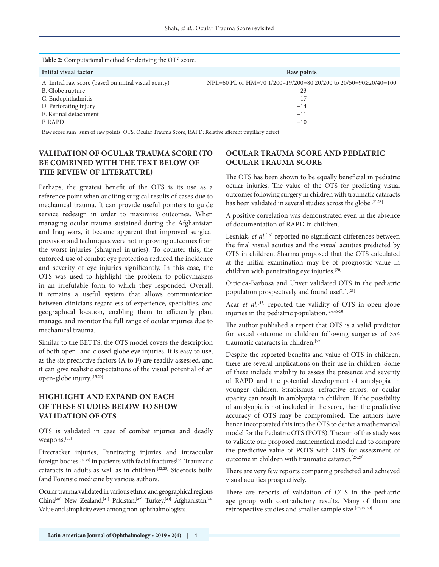| <b>Table 2:</b> Computational method for deriving the OTS score.                                    |                                                                 |  |  |  |  |
|-----------------------------------------------------------------------------------------------------|-----------------------------------------------------------------|--|--|--|--|
| Initial visual factor                                                                               | Raw points                                                      |  |  |  |  |
| A. Initial raw score (based on initial visual acuity)                                               | NPL=60 PL or HM=70 1/200-19/200=80 20/200 to 20/50=90≥20/40=100 |  |  |  |  |
| B. Globe rupture                                                                                    | $-23$                                                           |  |  |  |  |
| C. Endophthalmitis                                                                                  | $-17$                                                           |  |  |  |  |
| D. Perforating injury                                                                               | $-14$                                                           |  |  |  |  |
| E. Retinal detachment                                                                               | $-11$                                                           |  |  |  |  |
| F. RAPD                                                                                             | $-10$                                                           |  |  |  |  |
| Raw score sum=sum of raw points. OTS: Ocular Trauma Score, RAPD: Relative afferent pupillary defect |                                                                 |  |  |  |  |

# **VALIDATION OF OCULAR TRAUMA SCORE (TO BE COMBINED WITH THE TEXT BELOW OF THE REVIEW OF LITERATURE)**

Perhaps, the greatest benefit of the OTS is its use as a reference point when auditing surgical results of cases due to mechanical trauma. It can provide useful pointers to guide service redesign in order to maximize outcomes. When managing ocular trauma sustained during the Afghanistan and Iraq wars, it became apparent that improved surgical provision and techniques were not improving outcomes from the worst injuries (shrapnel injuries). To counter this, the enforced use of combat eye protection reduced the incidence and severity of eye injuries significantly. In this case, the OTS was used to highlight the problem to policymakers in an irrefutable form to which they responded. Overall, it remains a useful system that allows communication between clinicians regardless of experience, specialties, and geographical location, enabling them to efficiently plan, manage, and monitor the full range of ocular injuries due to mechanical trauma.

Similar to the BETTS, the OTS model covers the description of both open- and closed-globe eye injuries. It is easy to use, as the six predictive factors (A to F) are readily assessed, and it can give realistic expectations of the visual potential of an open-globe injury.[15,20]

# **HIGHLIGHT AND EXPAND ON EACH OF THESE STUDIES BELOW TO SHOW VALIDATION OF OTS**

OTS is validated in case of combat injuries and deadly weapons.[35]

Firecracker injuries, Penetrating injuries and intraocular foreign bodies<sup>[36-39]</sup> in patients with facial fractures<sup>[38]</sup> Traumatic cataracts in adults as well as in children.[22,23] Siderosis bulbi (and Forensic medicine by various authors.

Ocular trauma validated in various ethnic and geographical regions China<sup>[40]</sup> New Zealand,<sup>[41]</sup> Pakistan,<sup>[42]</sup> Turkey,<sup>[43]</sup> Afghanistan<sup>[44]</sup> Value and simplicity even among non-ophthalmologists.

# **OCULAR TRAUMA SCORE AND PEDIATRIC OCULAR TRAUMA SCORE**

The OTS has been shown to be equally beneficial in pediatric ocular injuries. The value of the OTS for predicting visual outcomes following surgery in children with traumatic cataracts has been validated in several studies across the globe.<sup>[21,28]</sup>

A positive correlation was demonstrated even in the absence of documentation of RAPD in children.

Lesniak, *et al*. [19] reported no significant differences between the final visual acuities and the visual acuities predicted by OTS in children. Sharma proposed that the OTS calculated at the initial examination may be of prognostic value in children with penetrating eye injuries.[20]

Oiticica-Barbosa and Unver validated OTS in the pediatric population prospectively and found useful.[23]

Acar *et al.*[45] reported the validity of OTS in open-globe injuries in the pediatric population.<sup>[24,46-50]</sup>

The author published a report that OTS is a valid predictor for visual outcome in children following surgeries of 354 traumatic cataracts in children.[22]

Despite the reported benefits and value of OTS in children, there are several implications on their use in children. Some of these include inability to assess the presence and severity of RAPD and the potential development of amblyopia in younger children. Strabismus, refractive errors, or ocular opacity can result in amblyopia in children. If the possibility of amblyopia is not included in the score, then the predictive accuracy of OTS may be compromised. The authors have hence incorporated this into the OTS to derive a mathematical model for the Pediatric OTS (POTS). The aim of this study was to validate our proposed mathematical model and to compare the predictive value of POTS with OTS for assessment of outcome in children with traumatic cataract.<sup>[25,29]</sup>

There are very few reports comparing predicted and achieved visual acuities prospectively.

There are reports of validation of OTS in the pediatric age group with contradictory results. Many of them are retrospective studies and smaller sample size.[25,45-50]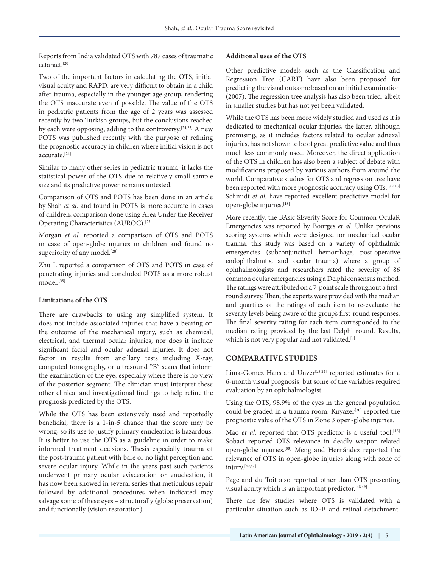Reports from India validated OTS with 787 cases of traumatic cataract.[20]

Two of the important factors in calculating the OTS, initial visual acuity and RAPD, are very difficult to obtain in a child after trauma, especially in the younger age group, rendering the OTS inaccurate even if possible. The value of the OTS in pediatric patients from the age of 2 years was assessed recently by two Turkish groups, but the conclusions reached by each were opposing, adding to the controversy.[24,25] A new POTS was published recently with the purpose of refining the prognostic accuracy in children where initial vision is not accurate.[24]

Similar to many other series in pediatric trauma, it lacks the statistical power of the OTS due to relatively small sample size and its predictive power remains untested.

Comparison of OTS and POTS has been done in an article by Shah *et al.* and found in POTS is more accurate in cases of children, comparison done using Area Under the Receiver Operating Characteristics (AUROC).[23]

Morgan *et al.* reported a comparison of OTS and POTS in case of open-globe injuries in children and found no superiority of any model.<sup>[28]</sup>

Zhu L reported a comparison of OTS and POTS in case of penetrating injuries and concluded POTS as a more robust model $^{[38]}$ 

#### **Limitations of the OTS**

There are drawbacks to using any simplified system. It does not include associated injuries that have a bearing on the outcome of the mechanical injury, such as chemical, electrical, and thermal ocular injuries, nor does it include significant facial and ocular adnexal injuries. It does not factor in results from ancillary tests including X-ray, computed tomography, or ultrasound "B" scans that inform the examination of the eye, especially where there is no view of the posterior segment. The clinician must interpret these other clinical and investigational findings to help refine the prognosis predicted by the OTS.

While the OTS has been extensively used and reportedly beneficial, there is a 1-in-5 chance that the score may be wrong, so its use to justify primary enucleation is hazardous. It is better to use the OTS as a guideline in order to make informed treatment decisions. Thesis especially trauma of the post-trauma patient with bare or no light perception and severe ocular injury. While in the years past such patients underwent primary ocular evisceration or enucleation, it has now been showed in several series that meticulous repair followed by additional procedures when indicated may salvage some of these eyes – structurally (globe preservation) and functionally (vision restoration).

#### **Additional uses of the OTS**

Other predictive models such as the Classification and Regression Tree (CART) have also been proposed for predicting the visual outcome based on an initial examination (2007). The regression tree analysis has also been tried, albeit in smaller studies but has not yet been validated.

While the OTS has been more widely studied and used as it is dedicated to mechanical ocular injuries, the latter, although promising, as it includes factors related to ocular adnexal injuries, has not shown to be of great predictive value and thus much less commonly used. Moreover, the direct application of the OTS in children has also been a subject of debate with modifications proposed by various authors from around the world. Comparative studies for OTS and regression tree have been reported with more prognostic accuracy using OTs.<sup>[8,9,10]</sup> Schmidt *et al.* have reported excellent predictive model for open-globe injuries.[18]

More recently, the BAsic SEverity Score for Common OculaR Emergencies was reported by Bourges *et al.* Unlike previous scoring systems which were designed for mechanical ocular trauma, this study was based on a variety of ophthalmic emergencies (subconjunctival hemorrhage, post-operative endophthalmitis, and ocular trauma) where a group of ophthalmologists and researchers rated the severity of 86 common ocular emergencies using a Delphi consensus method. The ratings were attributed on a 7-point scale throughout a firstround survey. Then, the experts were provided with the median and quartiles of the ratings of each item to re-evaluate the severity levels being aware of the group's first-round responses. The final severity rating for each item corresponded to the median rating provided by the last Delphi round. Results, which is not very popular and not validated.<sup>[8]</sup>

# **COMPARATIVE STUDIES**

Lima-Gomez Hans and Unver<sup>[23,24]</sup> reported estimates for a 6-month visual prognosis, but some of the variables required evaluation by an ophthalmologist.

Using the OTS, 98.9% of the eyes in the general population could be graded in a trauma room. Knyazer<sup>[30]</sup> reported the prognostic value of the OTS in Zone 3 open-globe injuries.

Mao *et al.* reported that OTS predictor is a useful tool.<sup>[46]</sup> Sobaci reported OTS relevance in deadly weapon-related open-globe injuries.[35] Meng and Hernández reported the relevance of OTS in open-globe injuries along with zone of injury.[40,47]

Page and du Toit also reported other than OTS presenting visual acuity which is an important predictor.<sup>[48,49]</sup>

There are few studies where OTS is validated with a particular situation such as IOFB and retinal detachment.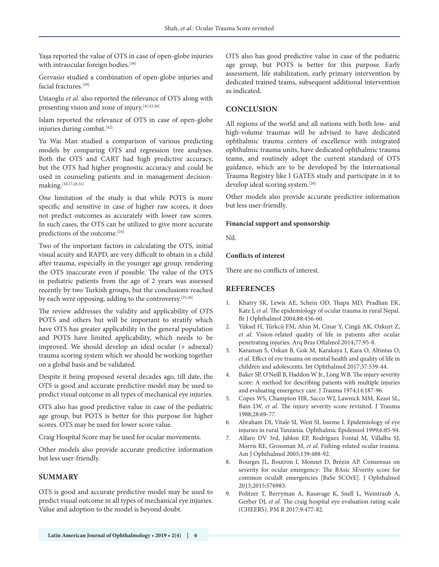Yaşa reported the value of OTS in case of open-globe injuries with intraocular foreign bodies.<sup>[36]</sup>

Gervasio studied a combination of open-globe injuries and facial fractures.<sup>[39]</sup>

Ustaoglu *et al.* also reported the relevance of OTS along with presenting vision and zone of injury.<sup>[41,43,50]</sup>

Islam reported the relevance of OTS in case of open-globe injuries during combat.[42]

Yu Wai Man studied a comparison of various predicting models by comparing OTS and regression tree analyses. Both the OTS and CART had high predictive accuracy, but the OTS had higher prognostic accuracy and could be used in counseling patients and in management decisionmaking.<sup>[16,17,28,51]</sup>

One limitation of the study is that while POTS is more specific and sensitive in case of higher raw scores, it does not predict outcomes as accurately with lower raw scores. In such cases, the OTS can be utilized to give more accurate predictions of the outcome.<sup>[24]</sup>

Two of the important factors in calculating the OTS, initial visual acuity and RAPD, are very difficult to obtain in a child after trauma, especially in the younger age group, rendering the OTS inaccurate even if possible. The value of the OTS in pediatric patients from the age of 2 years was assessed recently by two Turkish groups, but the conclusions reached by each were opposing, adding to the controversy.<sup>[25,26]</sup>

The review addresses the validity and applicability of OTS POTS and others but will be important to stratify which have OTS has greater applicability in the general population and POTS have limited applicability, which needs to be improved. We should develop an ideal ocular (+ adnexal) trauma scoring system which we should be working together on a global basis and be validated.

Despite it being proposed several decades ago, till date, the OTS is good and accurate predictive model may be used to predict visual outcome in all types of mechanical eye injuries.

OTS also has good predictive value in case of the pediatric age group, but POTS is better for this purpose for higher scores. OTS may be used for lower score value.

Craig Hospital Score may be used for ocular movements.

Other models also provide accurate predictive information but less user-friendly.

# **SUMMARY**

OTS is good and accurate predictive model may be used to predict visual outcome in all types of mechanical eye injuries. Value and adoption to the model is beyond doubt.

OTS also has good predictive value in case of the pediatric age group, but POTS is better for this purpose. Early assessment, life stabilization, early primary intervention by dedicated trained teams, subsequent additional intervention as indicated.

#### **CONCLUSION**

All regions of the world and all nations with both low- and high-volume traumas will be advised to have dedicated ophthalmic trauma centers of excellence with integrated ophthalmic trauma units, have dedicated ophthalmic trauma teams, and routinely adopt the current standard of OTS guidance, which are to be developed by the International Trauma Registry like I GATES study and participate in it to develop ideal scoring system.<sup>[26]</sup>

Other models also provide accurate predictive information but less user-friendly.

#### **Financial support and sponsorship**

Nil.

#### **Conflicts of interest**

There are no conflicts of interest.

#### **REFERENCES**

- 1. Khatry SK, Lewis AE, Schein OD, Thapa MD, Pradhan EK, Katz J, *et al*. The epidemiology of ocular trauma in rural Nepal. Br J Ophthalmol 2004;88:456-60.
- 2. Yüksel H, Türkcü FM, Ahin M, Cinar Y, Cingü AK, Ozkurt Z, *et al*. Vision-related quality of life in patients after ocular penetrating injuries. Arq Bras Oftalmol 2014;77:95-8.
- 3. Karaman S, Ozkan B, Gok M, Karakaya I, Kara O, Altintas O, *et al*. Effect of eye trauma on mental health and quality of life in children and adolescents. Int Ophthalmol 2017;37:539-44.
- 4. Baker SP, O'Neill B, Haddon W Jr., Long WB. The injury severity score: A method for describing patients with multiple injuries and evaluating emergency care. J Trauma 1974;14:187-96.
- 5. Copes WS, Champion HR, Sacco WJ, Lawnick MM, Keast SL, Bain LW, *et al*. The injury severity score revisited. J Trauma 1988;28:69-77.
- 6. Abraham DI, Vitale SI, West SI, Isseme I. Epidemiology of eye injuries in rural Tanzania. Ophthalmic Epidemiol 1999;6:85-94.
- 7. Alfaro DV 3rd, Jablon EP, Rodriguez Fontal M, Villalba SJ, Morris RE, Grossman M, *et al*. Fishing-related ocular trauma. Am J Ophthalmol 2005;139:488-92.
- 8. Bourges JL, Boutron I, Monnet D, Brézin AP. Consensus on severity for ocular emergency: The BAsic SEverity score for common oculaR emergencies [BaSe SCOrE]. J Ophthalmol 2015;2015:576983.
- 9. Politzer T, Berryman A, Rasavage K, Snell L, Weintraub A, Gerber DJ, *et al*. The craig hospital eye evaluation rating scale (CHEERS). PM R 2017;9:477-82.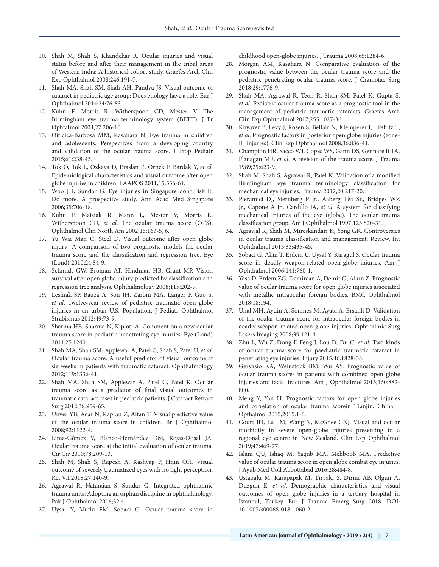- 10. Shah M, Shah S, Khandekar R. Ocular injuries and visual status before and after their management in the tribal areas of Western India: A historical cohort study. Graefes Arch Clin Exp Ophthalmol 2008;246:191-7.
- 11. Shah MA, Shah SM, Shah AH, Pandya JS. Visual outcome of cataract in pediatric age group: Does etiology have a role. Eur J Ophthalmol 2014;24:76-83.
- 12. Kuhn F, Morris R, Witherspoon CD, Mester V. The Birmingham eye trauma terminology system (BETT). J Fr Ophtalmol 2004;27:206-10.
- 13. Oiticica-Barbosa MM, Kasahara N. Eye trauma in children and adolescents: Perspectives from a developing country and validation of the ocular trauma score. J Trop Pediatr 2015;61:238-43.
- 14. Tok O, Tok L, Ozkaya D, Eraslan E, Ornek F, Bardak Y, *et al*. Epidemiological characteristics and visual outcome after open globe injuries in children. J AAPOS 2011;15:556-61.
- 15. Woo JH, Sundar G. Eye injuries in Singapore don't risk it. Do more. A prospective study. Ann Acad Med Singapore 2006;35:706-18.
- 16. Kuhn F, Maisiak R, Mann L, Mester V, Morris R, Witherspoon CD, *et al*. The ocular trauma score (OTS). Ophthalmol Clin North Am 2002;15:163-5, 6.
- 17. Yu Wai Man C, Steel D. Visual outcome after open globe injury: A comparison of two prognostic models the ocular trauma score and the classification and regression tree. Eye (Lond) 2010;24:84-9.
- 18. Schmidt GW, Broman AT, Hindman HB, Grant MP. Vision survival after open globe injury predicted by classification and regression tree analysis. Ophthalmology 2008;115:202-9.
- 19. Lesniak SP, Bauza A, Son JH, Zarbin MA, Langer P, Guo S, *et al*. Twelve-year review of pediatric traumatic open globe injuries in an urban U.S. Population. J Pediatr Ophthalmol Strabismus 2012;49:73-9.
- 20. Sharma HE, Sharma N, Kipioti A. Comment on a new ocular trauma score in pediatric penetrating eye injuries. Eye (Lond) 2011;25:1240.
- 21. Shah MA, Shah SM, Applewar A, Patel C, Shah S, Patel U, *et al*. Ocular trauma score: A useful predictor of visual outcome at six weeks in patients with traumatic cataract. Ophthalmology 2012;119:1336-41.
- 22. Shah MA, Shah SM, Applewar A, Patel C, Patel K. Ocular trauma score as a predictor of final visual outcomes in traumatic cataract cases in pediatric patients. J Cataract Refract Surg 2012;38:959-65.
- 23. Unver YB, Acar N, Kapran Z, Altan T. Visual predictive value of the ocular trauma score in children. Br J Ophthalmol 2008;92:1122-4.
- 24. Lima-Gómez V, Blanco-Hernández DM, Rojas-Dosal JA. Ocular trauma score at the initial evaluation of ocular trauma. Cir Cir 2010;78:209-13.
- 25. Shah M, Shah S, Rupesh A, Kashyap P, Hnin OH. Visual outcome of severely traumatized eyes with no light perception. Ret Vit 2018;27:140-9.
- 26. Agrawal R, Natarajan S, Sundar G. Integrated ophthalmic trauma units: Adopting an orphan discipline in ophthalmology. Pak J Ophthalmol 2016;32:4.
- 27. Uysal Y, Mutlu FM, Sobaci G. Ocular trauma score in

childhood open-globe injuries. J Trauma 2008;65:1284-6.

- 28. Morgan AM, Kasahara N. Comparative evaluation of the prognostic value between the ocular trauma score and the pediatric penetrating ocular trauma score. J Craniofac Surg 2018;29:1776-9.
- 29. Shah MA, Agrawal R, Teoh R, Shah SM, Patel K, Gupta S, *et al*. Pediatric ocular trauma score as a prognostic tool in the management of pediatric traumatic cataracts. Graefes Arch Clin Exp Ophthalmol 2017;255:1027-36.
- 30. Knyazer B, Levy J, Rosen S, Belfair N, Klemperer I, Lifshitz T, *et al*. Prognostic factors in posterior open globe injuries (zone-III injuries). Clin Exp Ophthalmol 2008;36:836-41.
- 31. Champion HR, Sacco WJ, Copes WS, Gann DS, Gennarelli TA, Flanagan ME, *et al*. A revision of the trauma score. J Trauma 1989;29:623-9.
- 32. Shah M, Shah S, Agrawal R, Patel K. Validation of a modified Birmingham eye trauma terminology classification for mechanical eye injuries. Trauma 2017;20:217-20.
- 33. Pieramici DJ, Sternberg P Jr., Aaberg TM Sr., Bridges WZ Jr., Capone A Jr., Cardillo JA, *et al*. A system for classifying mechanical injuries of the eye (globe). The ocular trauma classification group. Am J Ophthalmol 1997;123:820-31.
- 34. Agrawal R, Shah M, Mireskandari K, Yong GK. Controversies in ocular trauma classification and management: Review. Int Ophthalmol 2013;33:435-45.
- 35. Sobaci G, Akin T, Erdem U, Uysal Y, Karagül S. Ocular trauma score in deadly weapon-related open-globe injuries. Am J Ophthalmol 2006;141:760-1.
- 36. Yaşa D, Erdem ZG, Demircan A, Demir G, Alkın Z. Prognostic value of ocular trauma score for open globe injuries associated with metallic intraocular foreign bodies. BMC Ophthalmol 2018;18:194.
- 37. Unal MH, Aydin A, Sonmez M, Ayata A, Ersanli D. Validation of the ocular trauma score for intraocular foreign bodies in deadly weapon-related open-globe injuries. Ophthalmic Surg Lasers Imaging 2008;39:121-4.
- 38. Zhu L, Wu Z, Dong F, Feng J, Lou D, Du C, *et al*. Two kinds of ocular trauma score for paediatric traumatic cataract in penetrating eye injuries. Injury 2015;46:1828-33.
- 39. Gervasio KA, Weinstock BM, Wu AY. Prognostic value of ocular trauma scores in patients with combined open globe injuries and facial fractures. Am J Ophthalmol 2015;160:882- 800.
- 40. Meng Y, Yan H. Prognostic factors for open globe injuries and correlation of ocular trauma scorein Tianjin, China. J Opthalmol 2015;2015:1-6.
- 41. Court JH, Lu LM, Wang N, McGhee CNJ. Visual and ocular morbidity in severe open-globe injuries presenting to a regional eye centre in New Zealand. Clin Exp Ophthalmol 2019;47:469-77.
- 42. Islam QU, Ishaq M, Yaqub MA, Mehboob MA. Predictive value of ocular trauma score in open globe combat eye injuries. J Ayub Med Coll Abbottabad 2016;28:484-8.
- 43. Ustaoglu M, Karapapak M, Tiryaki S, Dirim AB, Olgun A, Duzgun E, *et al*. Demographic characteristics and visual outcomes of open globe injuries in a tertiary hospital in Istanbul, Turkey. Eur J Trauma Emerg Surg 2018. DOI: 10.1007/s00068-018-1060-2.